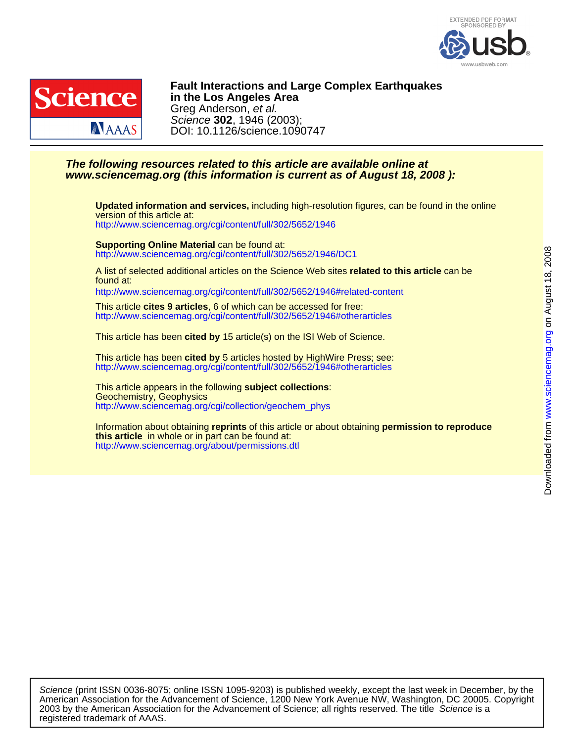



DOI: 10.1126/science.1090747 Science **302**, 1946 (2003); Greg Anderson, et al. **in the Los Angeles Area Fault Interactions and Large Complex Earthquakes**

# **www.sciencemag.org (this information is current as of August 18, 2008 ): The following resources related to this article are available online at**

<http://www.sciencemag.org/cgi/content/full/302/5652/1946> version of this article at: **Updated information and services,** including high-resolution figures, can be found in the online

<http://www.sciencemag.org/cgi/content/full/302/5652/1946/DC1> **Supporting Online Material** can be found at:

found at: A list of selected additional articles on the Science Web sites **related to this article** can be

<http://www.sciencemag.org/cgi/content/full/302/5652/1946#related-content>

<http://www.sciencemag.org/cgi/content/full/302/5652/1946#otherarticles> This article **cites 9 articles**, 6 of which can be accessed for free:

This article has been **cited by** 15 article(s) on the ISI Web of Science.

<http://www.sciencemag.org/cgi/content/full/302/5652/1946#otherarticles> This article has been **cited by** 5 articles hosted by HighWire Press; see:

[http://www.sciencemag.org/cgi/collection/geochem\\_phys](http://www.sciencemag.org/cgi/collection/geochem_phys) Geochemistry, Geophysics This article appears in the following **subject collections**:

<http://www.sciencemag.org/about/permissions.dtl> **this article** in whole or in part can be found at: Information about obtaining **reprints** of this article or about obtaining **permission to reproduce**

registered trademark of AAAS. 2003 by the American Association for the Advancement of Science; all rights reserved. The title Science is a American Association for the Advancement of Science, 1200 New York Avenue NW, Washington, DC 20005. Copyright Science (print ISSN 0036-8075; online ISSN 1095-9203) is published weekly, except the last week in December, by the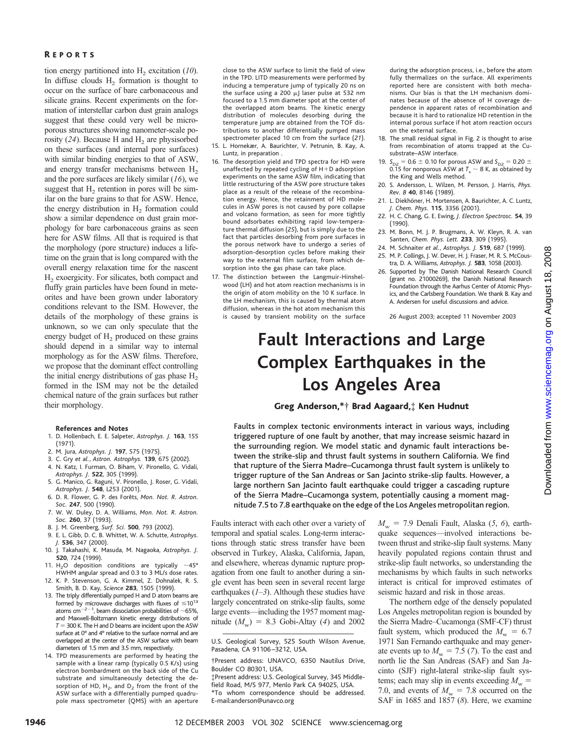### R EPORTS

tion energy partitioned into  $H_2$  excitation (10). In diffuse clouds  $H<sub>2</sub>$  formation is thought to occur on the surface of bare carbonaceous and silicate grains. Recent experiments on the formation of interstellar carbon dust grain analogs suggest that these could very well be microporous structures showing nanometer-scale porosity  $(24)$ . Because H and H<sub>2</sub> are physisorbed on these surfaces (and internal pore surfaces) with similar binding energies to that of ASW, and energy transfer mechanisms between  $H<sub>2</sub>$ and the pore surfaces are likely similar (*16*), we suggest that  $H_2$  retention in pores will be similar on the bare grains to that for ASW. Hence, the energy distribution in  $H<sub>2</sub>$  formation could show a similar dependence on dust grain morphology for bare carbonaceous grains as seen here for ASW films. All that is required is that the morphology (pore structure) induces a lifetime on the grain that is long compared with the overall energy relaxation time for the nascent  $H<sub>2</sub>$  exoergicity. For silicates, both compact and fluffy grain particles have been found in meteorites and have been grown under laboratory conditions relevant to the ISM. However, the details of the morphology of these grains is unknown, so we can only speculate that the energy budget of  $H<sub>2</sub>$  produced on these grains should depend in a similar way to internal morphology as for the ASW films. Therefore, we propose that the dominant effect controlling the initial energy distributions of gas phase  $H_2$ formed in the ISM may not be the detailed chemical nature of the grain surfaces but rather their morphology.

### **References and Notes**

- 1. D. Hollenbach, E. E. Salpeter, *Astrophys. J.* **163**, 155 (1971).
- 2. M. Jura, *Astrophys. J.* **197**, 575 (1975).
- 3. C. Gry *et al.*, *Astron. Astrophys.* **139**, 675 (2002). 4. N. Katz, I. Furman, O. Biham, V. Pironello, G. Vidali, *Astrophys. J.* **522**, 305 (1999).
- 5. G. Manico, G. Raguni, V. Pironello, J. Roser, G. Vidali, *Astrophys. J.* **548**, L253 (2001).
- 6. D. R. Flower, G. P. des Foreˆts, *Mon. Not. R. Astron. Soc.* **247**, 500 (1990).
- 7. W. W. Duley, D. A. Williams, *Mon. Not. R. Astron. Soc.* **260**, 37 (1993).
- 8. J. M. Greenberg, *Surf. Sci.* **500**, 793 (2002).
- 9. E. L. Gibb, D. C. B. Whittet, W. A. Schutte, *Astrophys. J.* **536**, 347 (2000).
- 10. J. Takahashi, K. Masuda, M. Nagaoka, *Astrophys. J.* **520**, 724 (1999).
- 11. H<sub>2</sub>O deposition conditions are typically  $\sim$ 45° HWHM angular spread and 0.3 to 3 ML/s dose rates.
- 12. K. P. Stevenson, G. A. Kimmel, Z. Dohnalek, R. S. Smith, B. D. Kay, *Science* **283**, 1505 (1999).
- 13. The triply differentially pumped H and D atom beams are formed by microwave discharges with fluxes of  $\leq 10^{13}$ atoms cm<sup>-2-1</sup>, beam dissociation probabilities of  $~65\%$ , and Maxwell-Boltzmann kinetic energy distributions of  $T = 300$  K. The H and D beams are incident upon the ASW surface at 0° and 4° relative to the surface normal and are overlapped at the center of the ASW surface with beam diameters of 1.5 mm and 3.5 mm, respectively.
- 14. TPD measurements are performed by heating the sample with a linear ramp (typically 0.5 K/s) using electron bombardment on the back side of the Cu substrate and simultaneously detecting the desorption of HD,  $H_2$ , and  $D_2$  from the front of the ASW surface with a differentially pumped quadrupole mass spectrometer (QMS) with an aperture

close to the ASW surface to limit the field of view in the TPD. LITD measurements were performed by inducing a temperature jump of typically 20 ns on the surface using a 200  $\mu$ J laser pulse at 532 nm focused to a 1.5 mm diameter spot at the center of the overlapped atom beams. The kinetic energy distribution of molecules desorbing during the temperature jump are obtained from the TOF distributions to another differentially pumped mass spectrometer placed 10 cm from the surface (*21*).

- 15. L. Hornekær, A. Baurichter, V. Petrunin, B. Kay, A. Luntz, in preparation .
- 16. The desorption yield and TPD spectra for HD were unaffected by repeated cycling of  $H+D$  adsorption experiments on the same ASW film, indicating that little restructuring of the ASW pore structure takes place as a result of the release of the recombination energy. Hence, the retainment of HD molecules in ASW pores is not caused by pore collapse and volcano formation, as seen for more tightly bound adsorbates exhibiting rapid low-temperature thermal diffusion (*25*), but is simply due to the fact that particles desorbing from pore surfaces in the porous network have to undergo a series of adsorption-desorption cycles before making their way to the external film surface, from which desorption into the gas phase can take place.
- 17. The distinction between the Langmuir-Hinshelwood (LH) and hot atom reaction mechanisms is in the origin of atom mobility on the 10 K surface. In the LH mechanism, this is caused by thermal atom diffusion, whereas in the hot atom mechanism this is caused by transient mobility on the surface

during the adsorption process, i.e., before the atom fully thermalizes on the surface. All experiments reported here are consistent with both mechanisms. Our bias is that the LH mechanism dominates because of the absence of H coverage dependence in apparent rates of recombination and because it is hard to rationalize HD retention in the internal porous surface if hot atom reaction occurs on the external surface.

- 18. The small residual signal in Fig. 2 is thought to arise from recombination of atoms trapped at the Cusubstrate–ASW interface.
- 19.  $S_{D2} = 0.6 \pm 0.10$  for porous ASW and  $S_{D2} = 0.20 \pm 0.20$ 0.15 for nonporous ASW at  $T_s \sim 8$  K, as obtained by the King and Wells method.
- 20. S. Andersson, L. Wilzen, M. Persson, J. Harris, *Phys. Rev. B* **40**, 8146(1989).
- 21. L. Diekhöner, H. Mortensen, A. Baurichter, A. C. Luntz, *J. Chem. Phys.* **115**, 3356(2001).
- 22. H. C. Chang, G. E. Ewing, *J. Electron Spectrosc.* **54**, 39 (1990).
- 23. M. Bonn, M. J. P. Brugmans, A. W. Kleyn, R. A. van Santen, *Chem. Phys. Lett.* **233**, 309 (1995).
- 24. M. Schnaiter *et al.*, *Astrophys. J.* **519**, 687 (1999).
- 25. M. P. Collings, J. W. Dever, H. J. Fraser, M. R. S. McCoustra, D. A. Williams, *Astrophys. J.* **583**, 1058 (2003).
- Supported by The Danish National Research Council (grant no. 21000269), the Danish National Research Foundation through the Aarhus Center of Atomic Physics, and the Carlsberg Foundation. We thank B. Kay and A. Andersen for useful discussions and advice.

26August 2003; accepted 11 November 2003

# **Fault Interactions and Large Complex Earthquakes in the Los Angeles Area**

## Greg Anderson,\*† Brad Aagaard,‡ Ken Hudnut

Faults in complex tectonic environments interact in various ways, including triggered rupture of one fault by another, that may increase seismic hazard in the surrounding region. We model static and dynamic fault interactions between the strike-slip and thrust fault systems in southern California. We find that rupture of the Sierra Madre–Cucamonga thrust fault system is unlikely to trigger rupture of the San Andreas or San Jacinto strike-slip faults. However, a large northern San Jacinto fault earthquake could trigger a cascading rupture of the Sierra Madre–Cucamonga system, potentially causing a moment magnitude 7.5 to 7.8 earthquake on the edge of the Los Angeles metropolitan region.

Faults interact with each other over a variety of temporal and spatial scales. Long-term interactions through static stress transfer have been observed in Turkey, Alaska, California, Japan, and elsewhere, whereas dynamic rupture propagation from one fault to another during a single event has been seen in several recent large earthquakes (*1*–*3*). Although these studies have largely concentrated on strike-slip faults, some large events—including the 1957 moment magnitude  $(M_w) = 8.3$  Gobi-Altay (4) and 2002

 $M_w$  = 7.9 Denali Fault, Alaska (5, 6), earthquake sequences—involved interactions between thrust and strike-slip fault systems. Many heavily populated regions contain thrust and strike-slip fault networks, so understanding the mechanisms by which faults in such networks interact is critical for improved estimates of seismic hazard and risk in those areas.

The northern edge of the densely populated Los Angeles metropolitan region is bounded by the Sierra Madre–Cucamonga (SMF-CF) thrust fault system, which produced the  $M_{\text{w}} = 6.7$ 1971 San Fernando earthquake and may generate events up to  $M_w = 7.5$  (7). To the east and north lie the San Andreas (SAF) and San Jacinto (SJF) right-lateral strike-slip fault systems; each may slip in events exceeding  $M_w$  = 7.0, and events of  $M_{\text{w}} = 7.8$  occurred on the SAF in 1685 and 1857 (*8*). Here, we examine

U.S. Geological Survey, 525 South Wilson Avenue, Pasadena, CA 91106–3212, USA.

<sup>†</sup>Present address: UNAVCO, 6350 Nautilus Drive, Boulder CO 80301, USA.

<sup>‡</sup>Present address: U.S. Geological Survey, 345 Middlefield Road, M/S 977, Menlo Park CA 94025, USA. \*To whom correspondence should be addressed. E-mail:anderson@unavco.org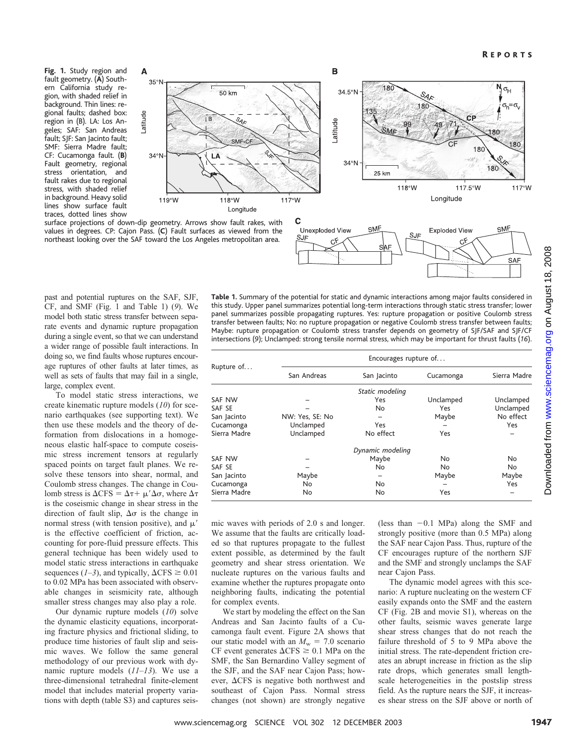**Fig. 1.** Study region and fault geometry. (**A**) Southern California study region, with shaded relief in background. Thin lines: regional faults; dashed box: region in (B). LA: Los Angeles; SAF: San Andreas fault; SJF: San Jacinto fault; SMF: Sierra Madre fault; CF: Cucamonga fault. (**B**) Fault geometry, regional stress orientation, and fault rakes due to regional stress, with shaded relief in background. Heavy solid lines show surface fault traces, dotted lines show



surface projections of down-dip geometry. Arrows show fault rakes, with values in degrees. CP: Cajon Pass. (**C**) Fault surfaces as viewed from the northeast looking over the SAF toward the Los Angeles metropolitan area.



past and potential ruptures on the SAF, SJF, CF, and SMF (Fig. 1 and Table 1) (*9*). We model both static stress transfer between separate events and dynamic rupture propagation during a single event, so that we can understand a wider range of possible fault interactions. In doing so, we find faults whose ruptures encourage ruptures of other faults at later times, as well as sets of faults that may fail in a single, large, complex event.

To model static stress interactions, we create kinematic rupture models (*10*) for scenario earthquakes (see supporting text). We then use these models and the theory of deformation from dislocations in a homogeneous elastic half-space to compute coseismic stress increment tensors at regularly spaced points on target fault planes. We resolve these tensors into shear, normal, and Coulomb stress changes. The change in Coulomb stress is  $\Delta \text{CFS} = \Delta \tau + \mu' \Delta \sigma$ , where  $\Delta \tau$ is the coseismic change in shear stress in the direction of fault slip,  $\Delta \sigma$  is the change in normal stress (with tension positive), and  $\mu'$ is the effective coefficient of friction, accounting for pore-fluid pressure effects. This general technique has been widely used to model static stress interactions in earthquake sequences  $(I-3)$ , and typically,  $\Delta \text{CFS} \geq 0.01$ to 0.02 MPa has been associated with observable changes in seismicity rate, although smaller stress changes may also play a role.

Our dynamic rupture models (*10*) solve the dynamic elasticity equations, incorporating fracture physics and frictional sliding, to produce time histories of fault slip and seismic waves. We follow the same general methodology of our previous work with dynamic rupture models (*11*–*13*). We use a three-dimensional tetrahedral finite-element model that includes material property variations with depth (table S3) and captures seis-

|                           |                                                                                                                                                                                                                                                                                                                                                                                                                                                                                                                                                                                                                                                                                                                                    |                  | this study. Upper panel summarizes potential long-term interactions through static stress transfer; lower<br>panel summarizes possible propagating ruptures. Yes: rupture propagation or positive Coulomb stress<br>transfer between faults; No: no rupture propagation or negative Coulomb stress transfer between faults;<br>Maybe: rupture propagation or Coulomb stress transfer depends on geometry of SJF/SAF and SJF/CF<br>intersections (9); Unclamped: strong tensile normal stress, which may be important for thrust faults (16).                                                                                                                                                                                                  |                  |
|---------------------------|------------------------------------------------------------------------------------------------------------------------------------------------------------------------------------------------------------------------------------------------------------------------------------------------------------------------------------------------------------------------------------------------------------------------------------------------------------------------------------------------------------------------------------------------------------------------------------------------------------------------------------------------------------------------------------------------------------------------------------|------------------|-----------------------------------------------------------------------------------------------------------------------------------------------------------------------------------------------------------------------------------------------------------------------------------------------------------------------------------------------------------------------------------------------------------------------------------------------------------------------------------------------------------------------------------------------------------------------------------------------------------------------------------------------------------------------------------------------------------------------------------------------|------------------|
|                           | Encourages rupture of                                                                                                                                                                                                                                                                                                                                                                                                                                                                                                                                                                                                                                                                                                              |                  |                                                                                                                                                                                                                                                                                                                                                                                                                                                                                                                                                                                                                                                                                                                                               |                  |
| Rupture of                | San Andreas                                                                                                                                                                                                                                                                                                                                                                                                                                                                                                                                                                                                                                                                                                                        | San Jacinto      | Cucamonga                                                                                                                                                                                                                                                                                                                                                                                                                                                                                                                                                                                                                                                                                                                                     | Sierra Madre     |
|                           |                                                                                                                                                                                                                                                                                                                                                                                                                                                                                                                                                                                                                                                                                                                                    | Static modeling  |                                                                                                                                                                                                                                                                                                                                                                                                                                                                                                                                                                                                                                                                                                                                               |                  |
| SAF NW                    |                                                                                                                                                                                                                                                                                                                                                                                                                                                                                                                                                                                                                                                                                                                                    | Yes              | Unclamped                                                                                                                                                                                                                                                                                                                                                                                                                                                                                                                                                                                                                                                                                                                                     | Unclamped        |
| SAF SE                    |                                                                                                                                                                                                                                                                                                                                                                                                                                                                                                                                                                                                                                                                                                                                    | No               | Yes                                                                                                                                                                                                                                                                                                                                                                                                                                                                                                                                                                                                                                                                                                                                           | Unclamped        |
| San Jacinto<br>Cucamonga  | NW: Yes, SE: No<br>Unclamped                                                                                                                                                                                                                                                                                                                                                                                                                                                                                                                                                                                                                                                                                                       | Yes              | Maybe                                                                                                                                                                                                                                                                                                                                                                                                                                                                                                                                                                                                                                                                                                                                         | No effect<br>Yes |
| Sierra Madre              | Unclamped                                                                                                                                                                                                                                                                                                                                                                                                                                                                                                                                                                                                                                                                                                                          | No effect        | Yes                                                                                                                                                                                                                                                                                                                                                                                                                                                                                                                                                                                                                                                                                                                                           |                  |
|                           |                                                                                                                                                                                                                                                                                                                                                                                                                                                                                                                                                                                                                                                                                                                                    | Dynamic modeling |                                                                                                                                                                                                                                                                                                                                                                                                                                                                                                                                                                                                                                                                                                                                               |                  |
| SAF NW                    |                                                                                                                                                                                                                                                                                                                                                                                                                                                                                                                                                                                                                                                                                                                                    | Maybe            | No                                                                                                                                                                                                                                                                                                                                                                                                                                                                                                                                                                                                                                                                                                                                            | No               |
| SAF SE                    |                                                                                                                                                                                                                                                                                                                                                                                                                                                                                                                                                                                                                                                                                                                                    | No               | No                                                                                                                                                                                                                                                                                                                                                                                                                                                                                                                                                                                                                                                                                                                                            | No               |
| San Jacinto               | Maybe                                                                                                                                                                                                                                                                                                                                                                                                                                                                                                                                                                                                                                                                                                                              |                  | Maybe                                                                                                                                                                                                                                                                                                                                                                                                                                                                                                                                                                                                                                                                                                                                         | Maybe            |
| Cucamonga<br>Sierra Madre | No<br>No                                                                                                                                                                                                                                                                                                                                                                                                                                                                                                                                                                                                                                                                                                                           | No<br>No         | Yes                                                                                                                                                                                                                                                                                                                                                                                                                                                                                                                                                                                                                                                                                                                                           | Yes              |
| for complex events.       | mic waves with periods of 2.0 s and longer.<br>We assume that the faults are critically load-<br>ed so that ruptures propagate to the fullest<br>extent possible, as determined by the fault<br>geometry and shear stress orientation. We<br>nucleate ruptures on the various faults and<br>examine whether the ruptures propagate onto<br>neighboring faults, indicating the potential<br>We start by modeling the effect on the San<br>Andreas and San Jacinto faults of a Cu-<br>camonga fault event. Figure 2A shows that<br>our static model with an $M_w = 7.0$ scenario<br>CF event generates $\Delta$ CFS $\geq$ 0.1 MPa on the<br>SMF, the San Bernardino Valley segment of<br>the SJF, and the SAF near Cajon Pass; how- |                  | (less than $-0.1$ MPa) along the SMF and<br>strongly positive (more than 0.5 MPa) along<br>the SAF near Cajon Pass. Thus, rupture of the<br>CF encourages rupture of the northern SJF<br>and the SMF and strongly unclamps the SAF<br>near Cajon Pass.<br>The dynamic model agrees with this sce-<br>nario: A rupture nucleating on the western CF<br>easily expands onto the SMF and the eastern<br>$CF$ (Fig. 2B and movie S1), whereas on the<br>other faults, seismic waves generate large<br>shear stress changes that do not reach the<br>failure threshold of 5 to 9 MPa above the<br>initial stress. The rate-dependent friction cre-<br>ates an abrupt increase in friction as the slip<br>rate drops, which generates small length- |                  |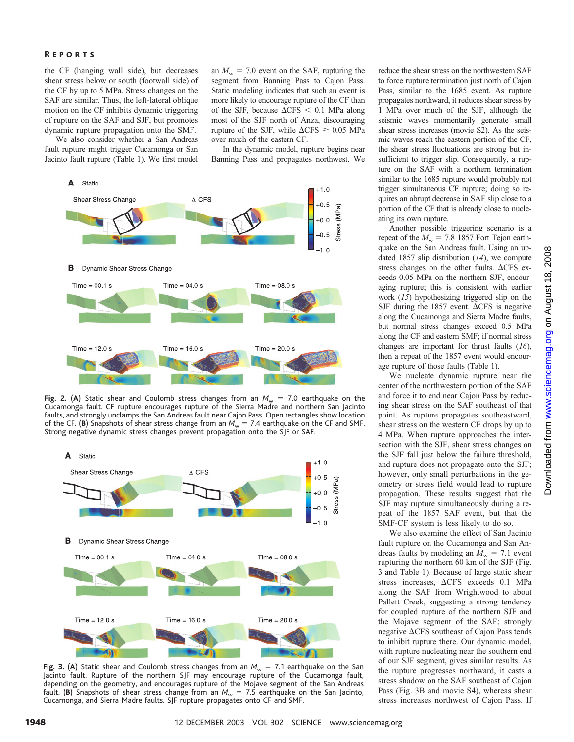## R EPORTS

the CF (hanging wall side), but decreases shear stress below or south (footwall side) of the CF by up to 5 MPa. Stress changes on the SAF are similar. Thus, the left-lateral oblique motion on the CF inhibits dynamic triggering of rupture on the SAF and SJF, but promotes dynamic rupture propagation onto the SMF.

We also consider whether a San Andreas fault rupture might trigger Cucamonga or San Jacinto fault rupture (Table 1). We first model

an  $M_{\rm w}$  = 7.0 event on the SAF, rupturing the segment from Banning Pass to Cajon Pass. Static modeling indicates that such an event is more likely to encourage rupture of the CF than of the SJF, because  $\Delta$ CFS  $\leq$  0.1 MPa along most of the SJF north of Anza, discouraging rupture of the SJF, while  $\Delta \text{CFS} \geq 0.05 \text{ MPa}$ over much of the eastern CF.

In the dynamic model, rupture begins near Banning Pass and propagates northwest. We



**Fig. 2.** (A) Static shear and Coulomb stress changes from an  $M_w = 7.0$  earthquake on the Cucamonga fault. CF rupture encourages rupture of the Sierra Madre and northern San Jacinto faults, and strongly unclamps the San Andreas fault near Cajon Pass. Open rectangles show location of the CF. (B) Snapshots of shear stress change from an  $M_w = 7.4$  earthquake on the CF and SMF. Strong negative dynamic stress changes prevent propagation onto the SJF or SAF.



**Fig. 3. (A)** Static shear and Coulomb stress changes from an  $M_w = 7.1$  earthquake on the San Jacinto fault. Rupture of the northern SJF may encourage rupture of the Cucamonga fault, depending on the geometry, and encourages rupture of the Mojave segment of the San Andreas fault. (**B**) Snapshots of shear stress change from an  $M_w = 7.5$  earthquake on the San Jacinto, Cucamonga, and Sierra Madre faults. SJF rupture propagates onto CF and SMF.

reduce the shear stress on the northwestern SAF to force rupture termination just north of Cajon Pass, similar to the 1685 event. As rupture propagates northward, it reduces shear stress by 1 MPa over much of the SJF, although the seismic waves momentarily generate small shear stress increases (movie S2). As the seismic waves reach the eastern portion of the CF, the shear stress fluctuations are strong but insufficient to trigger slip. Consequently, a rupture on the SAF with a northern termination similar to the 1685 rupture would probably not trigger simultaneous CF rupture; doing so requires an abrupt decrease in SAF slip close to a portion of the CF that is already close to nucleating its own rupture.

Another possible triggering scenario is a repeat of the  $M_w = 7.8$  1857 Fort Tejon earthquake on the San Andreas fault. Using an updated 1857 slip distribution (*14*), we compute stress changes on the other faults.  $\triangle CFS$  exceeds 0.05 MPa on the northern SJF, encouraging rupture; this is consistent with earlier work (*15*) hypothesizing triggered slip on the SJF during the 1857 event.  $\Delta$ CFS is negative along the Cucamonga and Sierra Madre faults, but normal stress changes exceed 0.5 MPa along the CF and eastern SMF; if normal stress changes are important for thrust faults (*16*), then a repeat of the 1857 event would encourage rupture of those faults (Table 1).

We nucleate dynamic rupture near the center of the northwestern portion of the SAF and force it to end near Cajon Pass by reducing shear stress on the SAF southeast of that point. As rupture propagates southeastward, shear stress on the western CF drops by up to 4 MPa. When rupture approaches the intersection with the SJF, shear stress changes on the SJF fall just below the failure threshold, and rupture does not propagate onto the SJF; however, only small perturbations in the geometry or stress field would lead to rupture propagation. These results suggest that the SJF may rupture simultaneously during a repeat of the 1857 SAF event, but that the SMF-CF system is less likely to do so.

We also examine the effect of San Jacinto fault rupture on the Cucamonga and San Andreas faults by modeling an  $M_{\rm w}$  = 7.1 event rupturing the northern 60 km of the SJF (Fig. 3 and Table 1). Because of large static shear stress increases,  $\triangle CFS$  exceeds 0.1 MPa along the SAF from Wrightwood to about Pallett Creek, suggesting a strong tendency for coupled rupture of the northern SJF and the Mojave segment of the SAF; strongly negative  $\Delta$ CFS southeast of Cajon Pass tends to inhibit rupture there. Our dynamic model, with rupture nucleating near the southern end of our SJF segment, gives similar results. As the rupture progresses northward, it casts a stress shadow on the SAF southeast of Cajon Pass (Fig. 3B and movie S4), whereas shear stress increases northwest of Cajon Pass. If